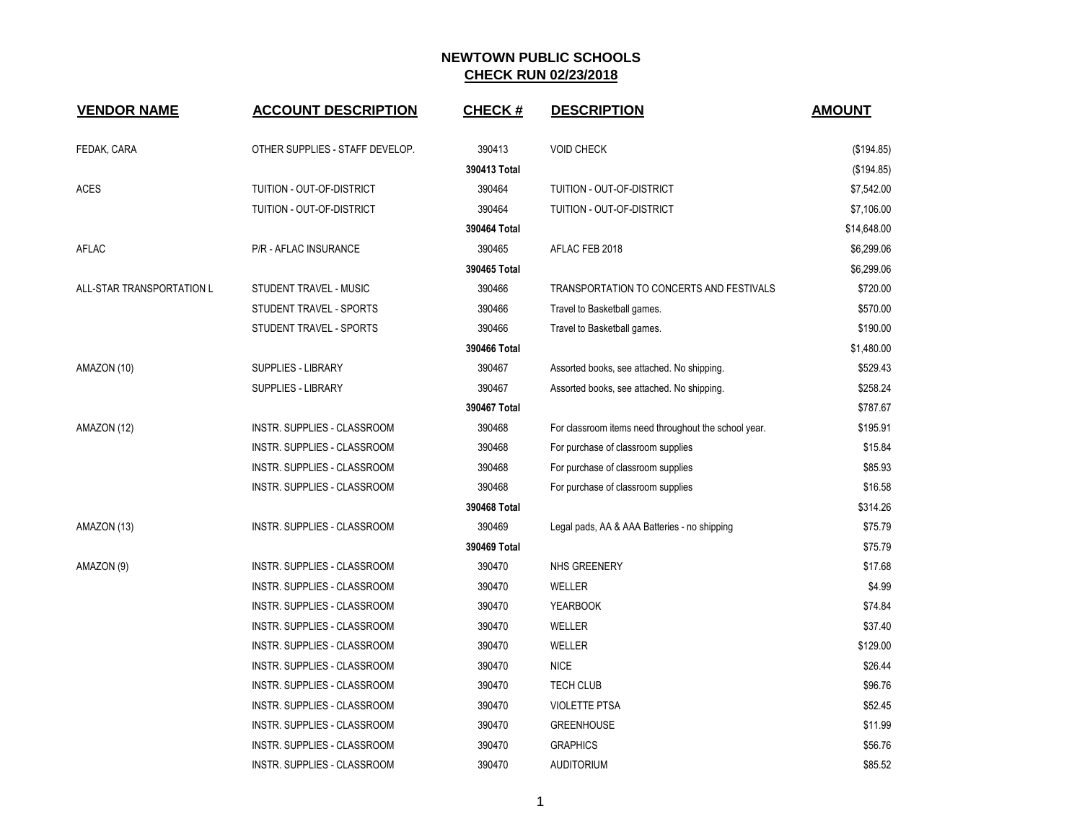| <b>VENDOR NAME</b>        | <b>ACCOUNT DESCRIPTION</b>      | <b>CHECK#</b> | <b>DESCRIPTION</b>                                   | <b>AMOUNT</b> |
|---------------------------|---------------------------------|---------------|------------------------------------------------------|---------------|
| FEDAK, CARA               | OTHER SUPPLIES - STAFF DEVELOP. | 390413        | <b>VOID CHECK</b>                                    | (\$194.85)    |
|                           |                                 | 390413 Total  |                                                      | (\$194.85)    |
| <b>ACES</b>               | TUITION - OUT-OF-DISTRICT       | 390464        | TUITION - OUT-OF-DISTRICT                            | \$7,542.00    |
|                           | TUITION - OUT-OF-DISTRICT       | 390464        | TUITION - OUT-OF-DISTRICT                            | \$7,106.00    |
|                           |                                 | 390464 Total  |                                                      | \$14,648.00   |
| AFLAC                     | P/R - AFLAC INSURANCE           | 390465        | AFLAC FEB 2018                                       | \$6,299.06    |
|                           |                                 | 390465 Total  |                                                      | \$6,299.06    |
| ALL-STAR TRANSPORTATION L | STUDENT TRAVEL - MUSIC          | 390466        | TRANSPORTATION TO CONCERTS AND FESTIVALS             | \$720.00      |
|                           | STUDENT TRAVEL - SPORTS         | 390466        | Travel to Basketball games.                          | \$570.00      |
|                           | STUDENT TRAVEL - SPORTS         | 390466        | Travel to Basketball games.                          | \$190.00      |
|                           |                                 | 390466 Total  |                                                      | \$1,480.00    |
| AMAZON (10)               | <b>SUPPLIES - LIBRARY</b>       | 390467        | Assorted books, see attached. No shipping.           | \$529.43      |
|                           | <b>SUPPLIES - LIBRARY</b>       | 390467        | Assorted books, see attached. No shipping.           | \$258.24      |
|                           |                                 | 390467 Total  |                                                      | \$787.67      |
| AMAZON (12)               | INSTR. SUPPLIES - CLASSROOM     | 390468        | For classroom items need throughout the school year. | \$195.91      |
|                           | INSTR. SUPPLIES - CLASSROOM     | 390468        | For purchase of classroom supplies                   | \$15.84       |
|                           | INSTR. SUPPLIES - CLASSROOM     | 390468        | For purchase of classroom supplies                   | \$85.93       |
|                           | INSTR. SUPPLIES - CLASSROOM     | 390468        | For purchase of classroom supplies                   | \$16.58       |
|                           |                                 | 390468 Total  |                                                      | \$314.26      |
| AMAZON (13)               | INSTR. SUPPLIES - CLASSROOM     | 390469        | Legal pads, AA & AAA Batteries - no shipping         | \$75.79       |
|                           |                                 | 390469 Total  |                                                      | \$75.79       |
| AMAZON (9)                | INSTR. SUPPLIES - CLASSROOM     | 390470        | NHS GREENERY                                         | \$17.68       |
|                           | INSTR. SUPPLIES - CLASSROOM     | 390470        | WELLER                                               | \$4.99        |
|                           | INSTR. SUPPLIES - CLASSROOM     | 390470        | <b>YEARBOOK</b>                                      | \$74.84       |
|                           | INSTR. SUPPLIES - CLASSROOM     | 390470        | WELLER                                               | \$37.40       |
|                           | INSTR. SUPPLIES - CLASSROOM     | 390470        | WELLER                                               | \$129.00      |
|                           | INSTR. SUPPLIES - CLASSROOM     | 390470        | <b>NICE</b>                                          | \$26.44       |
|                           | INSTR. SUPPLIES - CLASSROOM     | 390470        | <b>TECH CLUB</b>                                     | \$96.76       |
|                           | INSTR. SUPPLIES - CLASSROOM     | 390470        | <b>VIOLETTE PTSA</b>                                 | \$52.45       |
|                           | INSTR. SUPPLIES - CLASSROOM     | 390470        | <b>GREENHOUSE</b>                                    | \$11.99       |
|                           | INSTR. SUPPLIES - CLASSROOM     | 390470        | <b>GRAPHICS</b>                                      | \$56.76       |
|                           | INSTR. SUPPLIES - CLASSROOM     | 390470        | <b>AUDITORIUM</b>                                    | \$85.52       |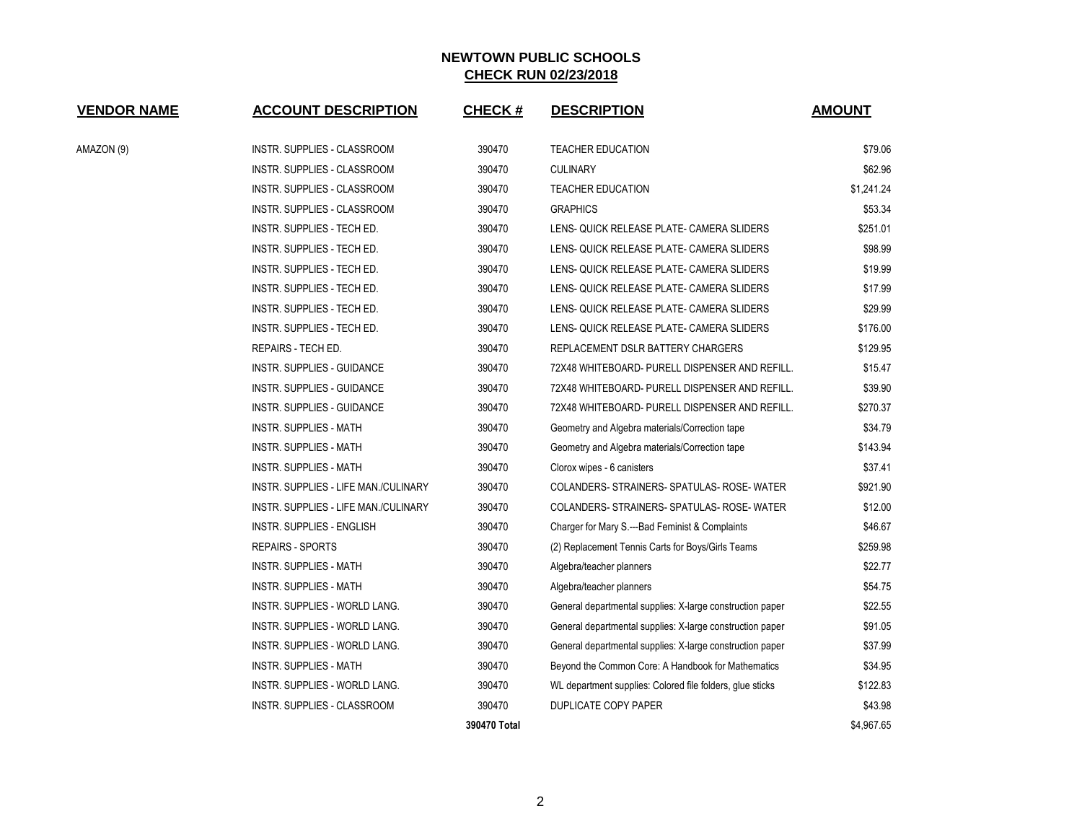| <b>VENDOR NAME</b> | <b>ACCOUNT DESCRIPTION</b>           | <b>CHECK#</b> | <b>DESCRIPTION</b>                                        | <b>AMOUNT</b> |
|--------------------|--------------------------------------|---------------|-----------------------------------------------------------|---------------|
| AMAZON (9)         | INSTR. SUPPLIES - CLASSROOM          | 390470        | <b>TEACHER EDUCATION</b>                                  | \$79.06       |
|                    | INSTR. SUPPLIES - CLASSROOM          | 390470        | <b>CULINARY</b>                                           | \$62.96       |
|                    | INSTR. SUPPLIES - CLASSROOM          | 390470        | <b>TEACHER EDUCATION</b>                                  | \$1,241.24    |
|                    | INSTR. SUPPLIES - CLASSROOM          | 390470        | <b>GRAPHICS</b>                                           | \$53.34       |
|                    | INSTR. SUPPLIES - TECH ED.           | 390470        | LENS- QUICK RELEASE PLATE- CAMERA SLIDERS                 | \$251.01      |
|                    | INSTR. SUPPLIES - TECH ED.           | 390470        | LENS- QUICK RELEASE PLATE- CAMERA SLIDERS                 | \$98.99       |
|                    | INSTR. SUPPLIES - TECH ED.           | 390470        | LENS- QUICK RELEASE PLATE- CAMERA SLIDERS                 | \$19.99       |
|                    | INSTR. SUPPLIES - TECH ED.           | 390470        | LENS- QUICK RELEASE PLATE- CAMERA SLIDERS                 | \$17.99       |
|                    | INSTR. SUPPLIES - TECH ED.           | 390470        | LENS- QUICK RELEASE PLATE- CAMERA SLIDERS                 | \$29.99       |
|                    | INSTR. SUPPLIES - TECH ED.           | 390470        | LENS- QUICK RELEASE PLATE- CAMERA SLIDERS                 | \$176.00      |
|                    | REPAIRS - TECH ED.                   | 390470        | REPLACEMENT DSLR BATTERY CHARGERS                         | \$129.95      |
|                    | INSTR. SUPPLIES - GUIDANCE           | 390470        | 72X48 WHITEBOARD- PURELL DISPENSER AND REFILL.            | \$15.47       |
|                    | INSTR. SUPPLIES - GUIDANCE           | 390470        | 72X48 WHITEBOARD- PURELL DISPENSER AND REFILL.            | \$39.90       |
|                    | INSTR. SUPPLIES - GUIDANCE           | 390470        | 72X48 WHITEBOARD- PURELL DISPENSER AND REFILL.            | \$270.37      |
|                    | <b>INSTR. SUPPLIES - MATH</b>        | 390470        | Geometry and Algebra materials/Correction tape            | \$34.79       |
|                    | INSTR. SUPPLIES - MATH               | 390470        | Geometry and Algebra materials/Correction tape            | \$143.94      |
|                    | INSTR. SUPPLIES - MATH               | 390470        | Clorox wipes - 6 canisters                                | \$37.41       |
|                    | INSTR. SUPPLIES - LIFE MAN./CULINARY | 390470        | COLANDERS- STRAINERS- SPATULAS- ROSE- WATER               | \$921.90      |
|                    | INSTR. SUPPLIES - LIFE MAN./CULINARY | 390470        | COLANDERS- STRAINERS- SPATULAS- ROSE- WATER               | \$12.00       |
|                    | <b>INSTR. SUPPLIES - ENGLISH</b>     | 390470        | Charger for Mary S.---Bad Feminist & Complaints           | \$46.67       |
|                    | <b>REPAIRS - SPORTS</b>              | 390470        | (2) Replacement Tennis Carts for Boys/Girls Teams         | \$259.98      |
|                    | INSTR. SUPPLIES - MATH               | 390470        | Algebra/teacher planners                                  | \$22.77       |
|                    | <b>INSTR. SUPPLIES - MATH</b>        | 390470        | Algebra/teacher planners                                  | \$54.75       |
|                    | INSTR. SUPPLIES - WORLD LANG.        | 390470        | General departmental supplies: X-large construction paper | \$22.55       |
|                    | INSTR. SUPPLIES - WORLD LANG.        | 390470        | General departmental supplies: X-large construction paper | \$91.05       |
|                    | INSTR. SUPPLIES - WORLD LANG.        | 390470        | General departmental supplies: X-large construction paper | \$37.99       |
|                    | <b>INSTR. SUPPLIES - MATH</b>        | 390470        | Beyond the Common Core: A Handbook for Mathematics        | \$34.95       |
|                    | INSTR. SUPPLIES - WORLD LANG.        | 390470        | WL department supplies: Colored file folders, glue sticks | \$122.83      |
|                    | INSTR. SUPPLIES - CLASSROOM          | 390470        | DUPLICATE COPY PAPER                                      | \$43.98       |
|                    |                                      | 390470 Total  |                                                           | \$4.967.65    |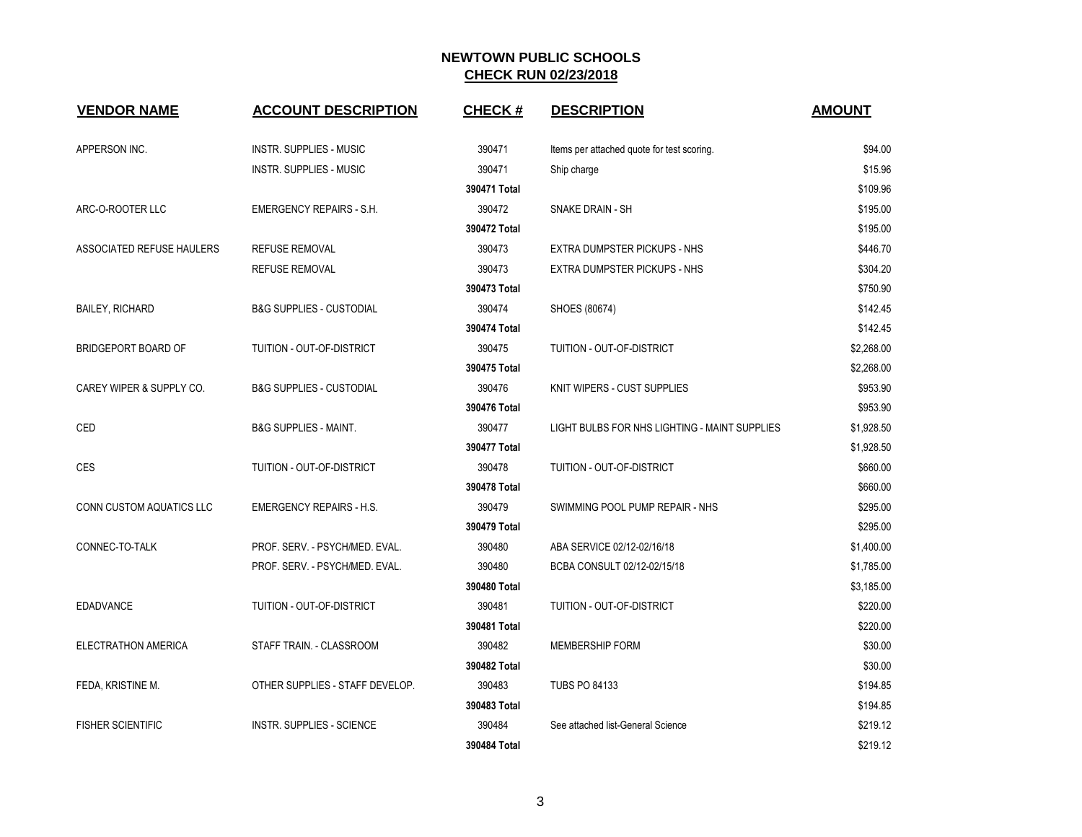| <b>VENDOR NAME</b>         | <b>ACCOUNT DESCRIPTION</b>          | <b>CHECK#</b> | <b>DESCRIPTION</b>                            | <b>AMOUNT</b> |
|----------------------------|-------------------------------------|---------------|-----------------------------------------------|---------------|
| APPERSON INC.              | <b>INSTR. SUPPLIES - MUSIC</b>      | 390471        | Items per attached quote for test scoring.    | \$94.00       |
|                            | <b>INSTR. SUPPLIES - MUSIC</b>      | 390471        | Ship charge                                   | \$15.96       |
|                            |                                     | 390471 Total  |                                               | \$109.96      |
| ARC-O-ROOTER LLC           | <b>EMERGENCY REPAIRS - S.H.</b>     | 390472        | <b>SNAKE DRAIN - SH</b>                       | \$195.00      |
|                            |                                     | 390472 Total  |                                               | \$195.00      |
| ASSOCIATED REFUSE HAULERS  | <b>REFUSE REMOVAL</b>               | 390473        | EXTRA DUMPSTER PICKUPS - NHS                  | \$446.70      |
|                            | <b>REFUSE REMOVAL</b>               | 390473        | EXTRA DUMPSTER PICKUPS - NHS                  | \$304.20      |
|                            |                                     | 390473 Total  |                                               | \$750.90      |
| <b>BAILEY, RICHARD</b>     | <b>B&amp;G SUPPLIES - CUSTODIAL</b> | 390474        | SHOES (80674)                                 | \$142.45      |
|                            |                                     | 390474 Total  |                                               | \$142.45      |
| <b>BRIDGEPORT BOARD OF</b> | TUITION - OUT-OF-DISTRICT           | 390475        | TUITION - OUT-OF-DISTRICT                     | \$2,268.00    |
|                            |                                     | 390475 Total  |                                               | \$2,268.00    |
| CAREY WIPER & SUPPLY CO.   | <b>B&amp;G SUPPLIES - CUSTODIAL</b> | 390476        | KNIT WIPERS - CUST SUPPLIES                   | \$953.90      |
|                            |                                     | 390476 Total  |                                               | \$953.90      |
| CED                        | <b>B&amp;G SUPPLIES - MAINT.</b>    | 390477        | LIGHT BULBS FOR NHS LIGHTING - MAINT SUPPLIES | \$1,928.50    |
|                            |                                     | 390477 Total  |                                               | \$1,928.50    |
| CES                        | TUITION - OUT-OF-DISTRICT           | 390478        | TUITION - OUT-OF-DISTRICT                     | \$660.00      |
|                            |                                     | 390478 Total  |                                               | \$660.00      |
| CONN CUSTOM AQUATICS LLC   | <b>EMERGENCY REPAIRS - H.S.</b>     | 390479        | SWIMMING POOL PUMP REPAIR - NHS               | \$295.00      |
|                            |                                     | 390479 Total  |                                               | \$295.00      |
| CONNEC-TO-TALK             | PROF. SERV. - PSYCH/MED. EVAL.      | 390480        | ABA SERVICE 02/12-02/16/18                    | \$1,400.00    |
|                            | PROF. SERV. - PSYCH/MED. EVAL.      | 390480        | BCBA CONSULT 02/12-02/15/18                   | \$1,785.00    |
|                            |                                     | 390480 Total  |                                               | \$3,185.00    |
| EDADVANCE                  | TUITION - OUT-OF-DISTRICT           | 390481        | TUITION - OUT-OF-DISTRICT                     | \$220.00      |
|                            |                                     | 390481 Total  |                                               | \$220.00      |
| <b>ELECTRATHON AMERICA</b> | STAFF TRAIN. - CLASSROOM            | 390482        | <b>MEMBERSHIP FORM</b>                        | \$30.00       |
|                            |                                     | 390482 Total  |                                               | \$30.00       |
| FEDA, KRISTINE M.          | OTHER SUPPLIES - STAFF DEVELOP.     | 390483        | <b>TUBS PO 84133</b>                          | \$194.85      |
|                            |                                     | 390483 Total  |                                               | \$194.85      |
| <b>FISHER SCIENTIFIC</b>   | <b>INSTR. SUPPLIES - SCIENCE</b>    | 390484        | See attached list-General Science             | \$219.12      |
|                            |                                     | 390484 Total  |                                               | \$219.12      |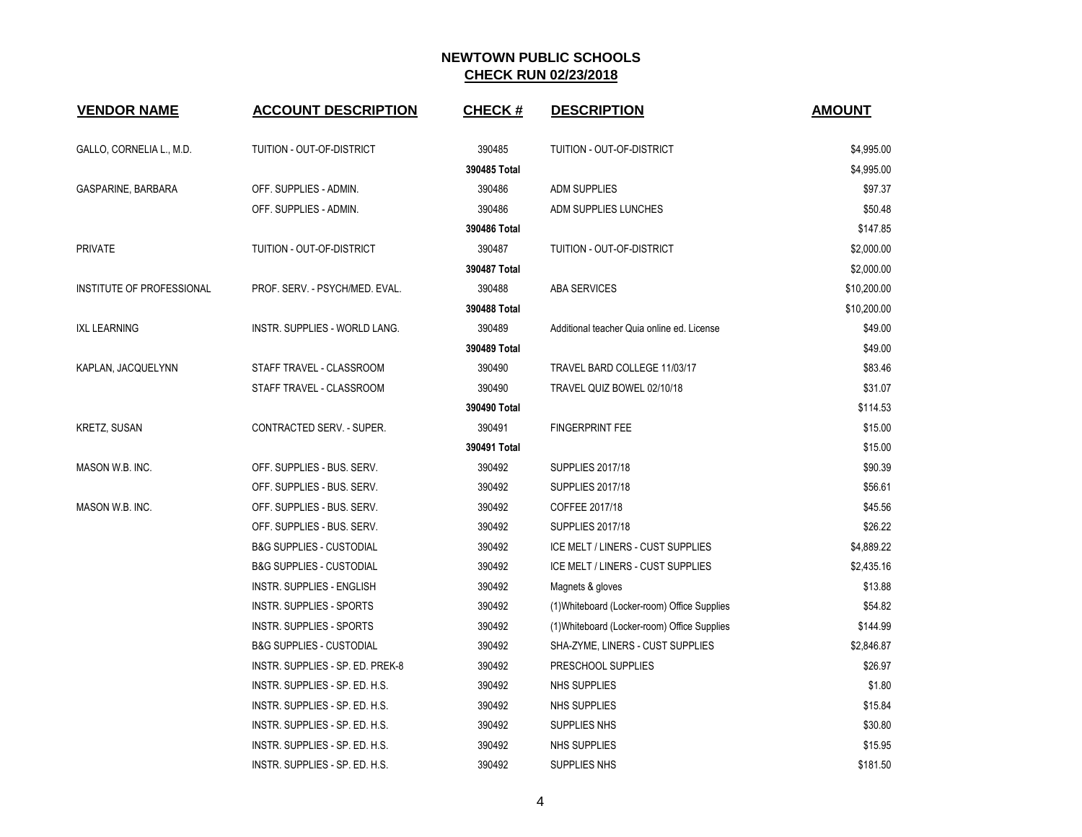| <b>VENDOR NAME</b>        | <b>ACCOUNT DESCRIPTION</b>          | <b>CHECK#</b> | <b>DESCRIPTION</b>                           | <b>AMOUNT</b> |
|---------------------------|-------------------------------------|---------------|----------------------------------------------|---------------|
| GALLO, CORNELIA L., M.D.  | TUITION - OUT-OF-DISTRICT           | 390485        | TUITION - OUT-OF-DISTRICT                    | \$4,995.00    |
|                           |                                     | 390485 Total  |                                              | \$4,995.00    |
| GASPARINE, BARBARA        | OFF. SUPPLIES - ADMIN.              | 390486        | <b>ADM SUPPLIES</b>                          | \$97.37       |
|                           | OFF. SUPPLIES - ADMIN.              | 390486        | ADM SUPPLIES LUNCHES                         | \$50.48       |
|                           |                                     | 390486 Total  |                                              | \$147.85      |
| <b>PRIVATE</b>            | TUITION - OUT-OF-DISTRICT           | 390487        | TUITION - OUT-OF-DISTRICT                    | \$2,000.00    |
|                           |                                     | 390487 Total  |                                              | \$2,000.00    |
| INSTITUTE OF PROFESSIONAL | PROF. SERV. - PSYCH/MED. EVAL.      | 390488        | <b>ABA SERVICES</b>                          | \$10,200.00   |
|                           |                                     | 390488 Total  |                                              | \$10,200.00   |
| <b>IXL LEARNING</b>       | INSTR. SUPPLIES - WORLD LANG.       | 390489        | Additional teacher Quia online ed. License   | \$49.00       |
|                           |                                     | 390489 Total  |                                              | \$49.00       |
| KAPLAN, JACQUELYNN        | STAFF TRAVEL - CLASSROOM            | 390490        | TRAVEL BARD COLLEGE 11/03/17                 | \$83.46       |
|                           | STAFF TRAVEL - CLASSROOM            | 390490        | TRAVEL QUIZ BOWEL 02/10/18                   | \$31.07       |
|                           |                                     | 390490 Total  |                                              | \$114.53      |
| KRETZ, SUSAN              | CONTRACTED SERV. - SUPER.           | 390491        | <b>FINGERPRINT FEE</b>                       | \$15.00       |
|                           |                                     | 390491 Total  |                                              | \$15.00       |
| MASON W.B. INC.           | OFF. SUPPLIES - BUS. SERV.          | 390492        | <b>SUPPLIES 2017/18</b>                      | \$90.39       |
|                           | OFF. SUPPLIES - BUS. SERV.          | 390492        | <b>SUPPLIES 2017/18</b>                      | \$56.61       |
| MASON W.B. INC.           | OFF. SUPPLIES - BUS. SERV.          | 390492        | COFFEE 2017/18                               | \$45.56       |
|                           | OFF. SUPPLIES - BUS. SERV.          | 390492        | <b>SUPPLIES 2017/18</b>                      | \$26.22       |
|                           | <b>B&amp;G SUPPLIES - CUSTODIAL</b> | 390492        | ICE MELT / LINERS - CUST SUPPLIES            | \$4,889.22    |
|                           | <b>B&amp;G SUPPLIES - CUSTODIAL</b> | 390492        | ICE MELT / LINERS - CUST SUPPLIES            | \$2,435.16    |
|                           | INSTR. SUPPLIES - ENGLISH           | 390492        | Magnets & gloves                             | \$13.88       |
|                           | <b>INSTR. SUPPLIES - SPORTS</b>     | 390492        | (1) Whiteboard (Locker-room) Office Supplies | \$54.82       |
|                           | <b>INSTR. SUPPLIES - SPORTS</b>     | 390492        | (1) Whiteboard (Locker-room) Office Supplies | \$144.99      |
|                           | <b>B&amp;G SUPPLIES - CUSTODIAL</b> | 390492        | SHA-ZYME, LINERS - CUST SUPPLIES             | \$2,846.87    |
|                           | INSTR. SUPPLIES - SP. ED. PREK-8    | 390492        | PRESCHOOL SUPPLIES                           | \$26.97       |
|                           | INSTR. SUPPLIES - SP. ED. H.S.      | 390492        | NHS SUPPLIES                                 | \$1.80        |
|                           | INSTR. SUPPLIES - SP. ED. H.S.      | 390492        | NHS SUPPLIES                                 | \$15.84       |
|                           | INSTR. SUPPLIES - SP. ED. H.S.      | 390492        | SUPPLIES NHS                                 | \$30.80       |
|                           | INSTR. SUPPLIES - SP. ED. H.S.      | 390492        | <b>NHS SUPPLIES</b>                          | \$15.95       |
|                           | INSTR. SUPPLIES - SP. ED. H.S.      | 390492        | SUPPLIES NHS                                 | \$181.50      |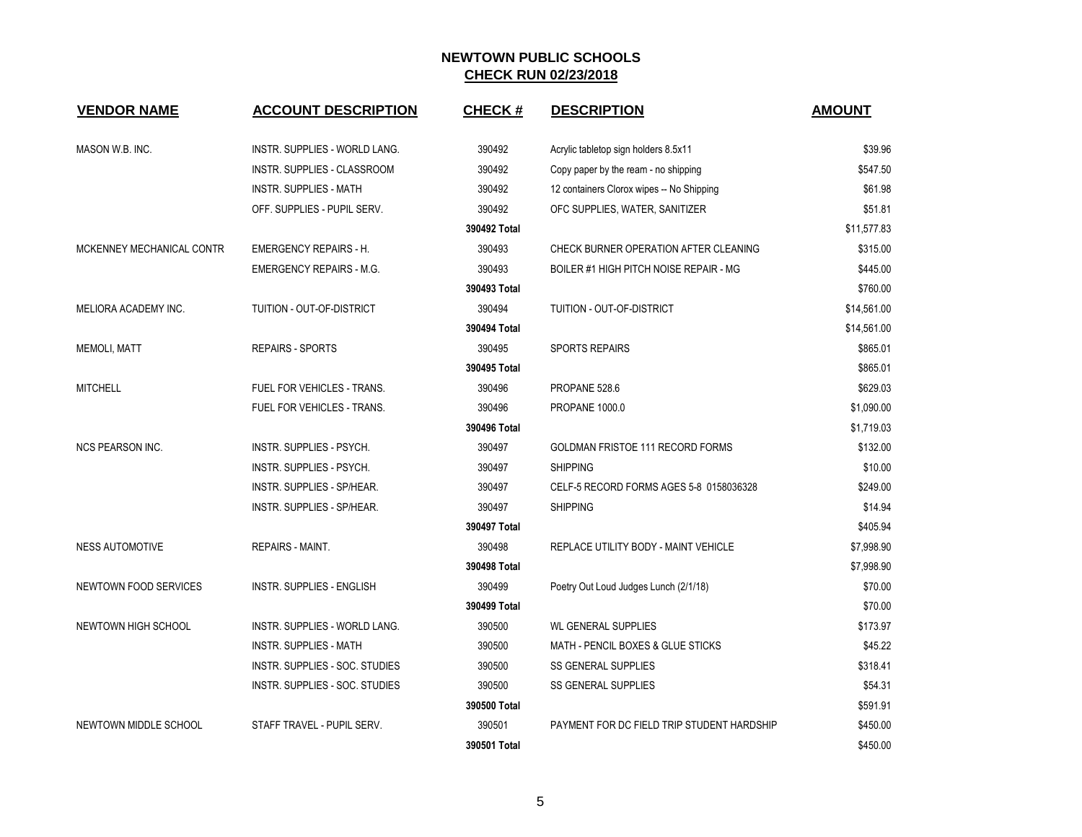| <b>VENDOR NAME</b>         | <b>ACCOUNT DESCRIPTION</b>           | <b>CHECK#</b> | <b>DESCRIPTION</b>                           | <b>AMOUNT</b> |
|----------------------------|--------------------------------------|---------------|----------------------------------------------|---------------|
|                            |                                      |               |                                              |               |
| MASON W.B. INC.            | INSTR. SUPPLIES - WORLD LANG.        | 390492        | Acrylic tabletop sign holders 8.5x11         | \$39.96       |
|                            | INSTR. SUPPLIES - CLASSROOM          | 390492        | Copy paper by the ream - no shipping         | \$547.50      |
|                            | <b>INSTR. SUPPLIES - MATH</b>        | 390492        | 12 containers Clorox wipes -- No Shipping    | \$61.98       |
|                            | OFF. SUPPLIES - PUPIL SERV.          | 390492        | OFC SUPPLIES, WATER, SANITIZER               | \$51.81       |
|                            |                                      | 390492 Total  |                                              | \$11,577.83   |
| MCKENNEY MECHANICAL CONTR  | <b>EMERGENCY REPAIRS - H.</b>        | 390493        | CHECK BURNER OPERATION AFTER CLEANING        | \$315.00      |
|                            | <b>EMERGENCY REPAIRS - M.G.</b>      | 390493        | BOILER #1 HIGH PITCH NOISE REPAIR - MG       | \$445.00      |
|                            |                                      | 390493 Total  |                                              | \$760.00      |
| MELIORA ACADEMY INC.       | TUITION - OUT-OF-DISTRICT            | 390494        | TUITION - OUT-OF-DISTRICT                    | \$14,561.00   |
|                            |                                      | 390494 Total  |                                              | \$14,561.00   |
| <b>MEMOLI, MATT</b>        | <b>REPAIRS - SPORTS</b>              | 390495        | <b>SPORTS REPAIRS</b>                        | \$865.01      |
|                            |                                      | 390495 Total  |                                              | \$865.01      |
| <b>MITCHELL</b>            | <b>FUEL FOR VEHICLES - TRANS.</b>    | 390496        | PROPANE 528.6                                | \$629.03      |
|                            | FUEL FOR VEHICLES - TRANS.           | 390496        | <b>PROPANE 1000.0</b>                        | \$1,090.00    |
|                            |                                      | 390496 Total  |                                              | \$1,719.03    |
| <b>NCS PEARSON INC.</b>    | INSTR. SUPPLIES - PSYCH.             | 390497        | <b>GOLDMAN FRISTOE 111 RECORD FORMS</b>      | \$132.00      |
|                            | INSTR. SUPPLIES - PSYCH.             | 390497        | <b>SHIPPING</b>                              | \$10.00       |
|                            | INSTR. SUPPLIES - SP/HEAR.           | 390497        | CELF-5 RECORD FORMS AGES 5-8 0158036328      | \$249.00      |
|                            | INSTR. SUPPLIES - SP/HEAR.           | 390497        | <b>SHIPPING</b>                              | \$14.94       |
|                            |                                      | 390497 Total  |                                              | \$405.94      |
| <b>NESS AUTOMOTIVE</b>     | REPAIRS - MAINT.                     | 390498        | REPLACE UTILITY BODY - MAINT VEHICLE         | \$7,998.90    |
|                            |                                      | 390498 Total  |                                              | \$7,998.90    |
| NEWTOWN FOOD SERVICES      | INSTR. SUPPLIES - ENGLISH            | 390499        | Poetry Out Loud Judges Lunch (2/1/18)        | \$70.00       |
|                            |                                      | 390499 Total  |                                              | \$70.00       |
| <b>NEWTOWN HIGH SCHOOL</b> | <b>INSTR. SUPPLIES - WORLD LANG.</b> | 390500        | <b>WL GENERAL SUPPLIES</b>                   | \$173.97      |
|                            | INSTR. SUPPLIES - MATH               | 390500        | <b>MATH - PENCIL BOXES &amp; GLUE STICKS</b> | \$45.22       |
|                            | INSTR. SUPPLIES - SOC. STUDIES       | 390500        | <b>SS GENERAL SUPPLIES</b>                   | \$318.41      |
|                            | INSTR. SUPPLIES - SOC. STUDIES       | 390500        | <b>SS GENERAL SUPPLIES</b>                   | \$54.31       |
|                            |                                      | 390500 Total  |                                              | \$591.91      |
| NEWTOWN MIDDLE SCHOOL      | STAFF TRAVEL - PUPIL SERV.           | 390501        | PAYMENT FOR DC FIELD TRIP STUDENT HARDSHIP   | \$450.00      |
|                            |                                      | 390501 Total  |                                              | \$450.00      |